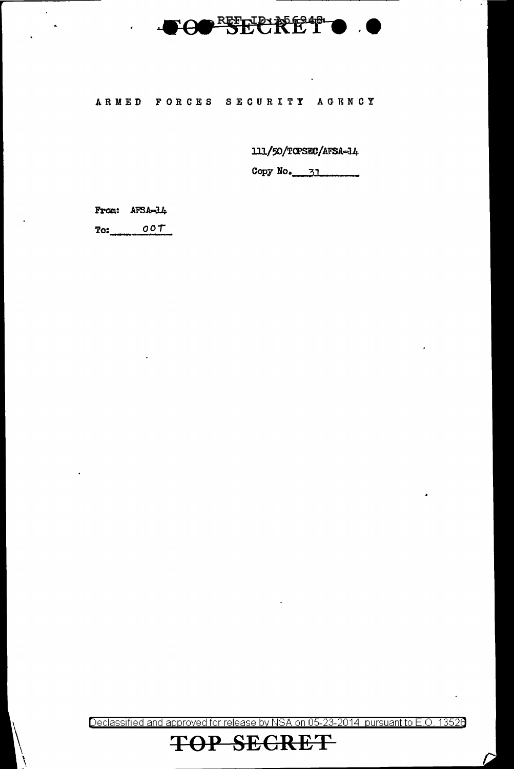

## ARMED FORCES SECURITY AGENCY

111/50/TOPSEC/AFSA-14

Copy No. 31

From: AFSA-14

 $\tilde{\mathbf{r}}$ 

 $\overline{\phantom{a}}$ 

 $T$ o:  $00T$ 

Declassified and approved for release by NSA on 05-23-2014 pursuant to E.O. 13526

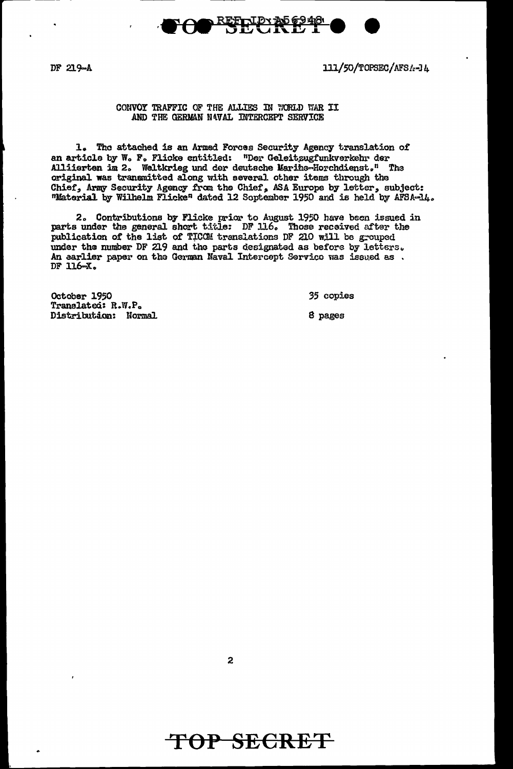

111/50/TOPSEC/AFS/s-14

### CONVOY TRAFFIC OF THE ALLIES IN WORLD WAR II AND THE GERMAN NAVAL INTERCEPT SERVICE

1. The attached is an Armed Forces Security Agency translation of an article by W. F. Flicke entitled: "Der Geleitzugfunkverkehr der Alliierten im 2. Weltkrieg und der deutsche Marihe-Horchdienst." The original was transmitted along with several other items through the Chief, Army Security Agency from the Chief, ASA Europe by letter, subject:<br>"Material by Wilhelm Flicke" dated 12 Soptember 1950 and is held by AFSA-14.

<u>REFTIDY A56948</u>

2. Contributions by Flicke prior to August 1950 have been issued in parts under the general short title: DF 116. Those received after the publication of the list of TICCM translations DF 210 will be grouped under the number DF 219 and the parts designated as before by letters.<br>An earlier paper on the German Maval Intercept Service was issued as DF 116-X.

October 1950 Translated: R.W.P. Distribution: Normal 35 copies

8 pages

 $\overline{2}$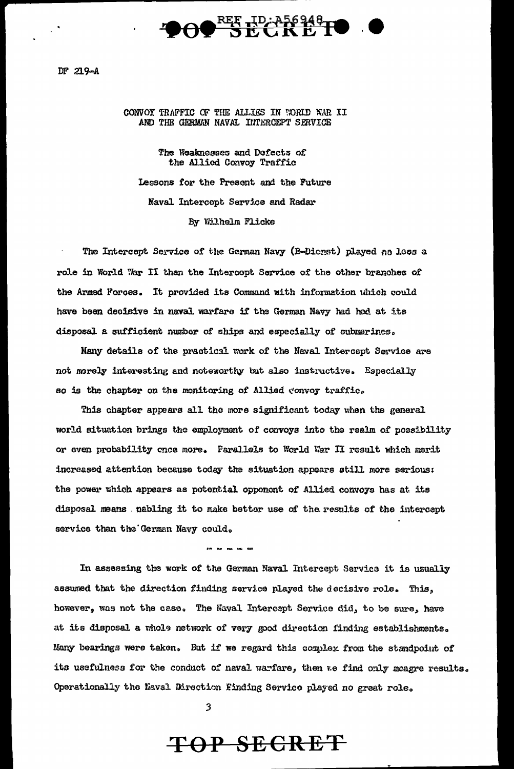

#### CONVOY TRAFFIC OF THE ALLIES IN WORLD WAR II AND THE GERMAN NAVAL INTERCEPT SERVICE

The Weaknesses and Defects of the Allied Convoy Traffic

Lessons for the Present and the Future Naval Intercopt Service and Radar By Wilhelm Flicke

The Intercept Service of the German Navy (B-Dicnst) played no loss a role in World War II than the Intercept Service of the other branches of the Armed Forces. It provided its Command with information which could have been decisive in naval warfare if the German Navy had had at its disposal a sufficient number of ships and especially of submarines.

Many details of the practical work of the Naval Intercept Service are not morely interesting and noteworthy but also instructive. Especially so is the chapter on the monitoring of Allied convoy traffic.

This chapter appears all the more significant today when the general world situation brings the employment of convoys into the realm of possibility or even probability cnce more. Parallels to World War II result which merit increased attention because today the situation appears still more serious: the power which appears as potential opponent of Allied convoys has at its disposal means . nabling it to make better use of the results of the intercept service than the German Navy could.

In assessing the work of the German Naval Intercept Service it is usually assumed that the direction finding service played the decisive role. This, however, was not the case. The Naval Intercept Service did, to be sure, have at its disposal a whole network of very good direction finding establishments. Many bearings were taken. But if we regard this complex from the standpoint of its usefulness for the conduct of naval warfare, then we find only meagre results. Operationally the Naval Direction Finding Service played no great role.

 $\overline{\mathbf{3}}$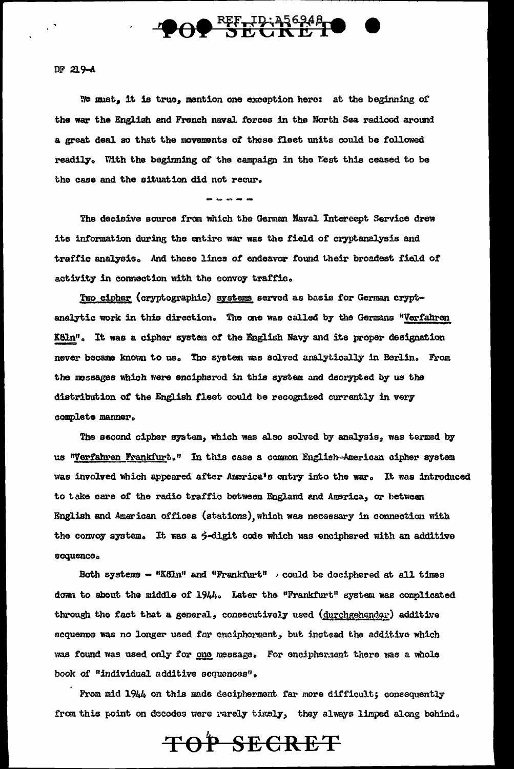

#### $DF 229-A$

We must, it is true, mention one exception here: at the beginning of the war the English and French naval forces in the North Sea radioed around a great deal so that the movements of these fleet units could be followed readily. With the beginning of the campaign in the West this ceased to be the case and the situation did not recur.

The decisive source from which the German Naval Intercept Service drew its information during the entire war was the field of cryptanalysis and traffic analysis. And these lines of endeavor found their broadest field of activity in connection with the convoy traffic.

Two cipher (cryptographic) systems served as basis for German cryptanalytic work in this direction. The one was called by the Germans "Verfahren Köln". It was a cipher system of the English Navy and its proper designation never became known to us. The system was solved analytically in Berlin. From the messages which were enciphered in this system and decrypted by us the distribution of the English fleet could be recognized currently in very complete manner.

The second cipher system, which was also solved by analysis, was termed by us "Verfahren Frankfurt." In this case a common English-American cipher system was involved which appeared after America's entry into the war. It was introduced to take care of the radio traffic between England and America, or between English and American offices (stations), which was necessary in connection with the convoy system. It was a  $\dot{\gamma}$ -digit code which was enciphered with an additive sequence.

Both systems - "Köln" and "Frankfurt" , could be dociphered at all times down to about the middle of 1944. Later the "Frankfurt" system was complicated through the fact that a general, consecutively used (durchgehender) additive sequence was no longer used for enciphorment, but instead the additive which was found was used only for one message. For encipherment there was a whole book of "individual additive sequences".

From mid 1944 on this made decipherment far more difficult; consequently from this point on decodes were rarely timely, they always limped along behind.

TOP SECRET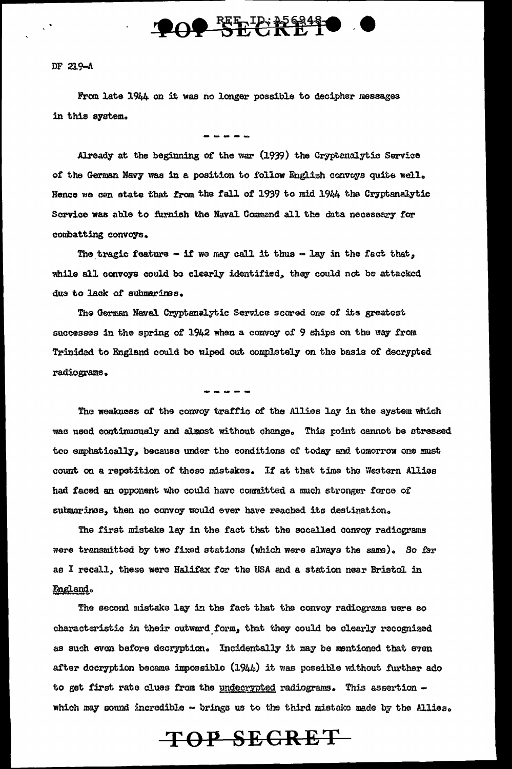

From late 1944 on it was no longer possible to decipher messages in this system.

Already at the beginning of the war (1939) the Cryptenalytic Service of the German Navy was in a position to follow English convoys quite well. Hence we can state that from the fall of 1939 to mid 1944 the Cryptanalytic Sorvice was able to furnish the Naval Commend all the data necessary for combatting convoys.

The tragic feature - if we may call it thus - lay in the fact that, while all convoys could be clearly identified, they could not be attacked due to lack of submarines.

The German Naval Cryptanalytic Service scored one of its greatest successes in the spring of 1942 when a convoy of 9 ships on the way from Trinided to England could be wiped out completely on the basis of decrypted radiograms.

The weakness of the convoy traffic of the Allies lay in the system which was used continuously and almost without change. This point cannot be stressed too emphatically, because under the conditions of today and tomorrow one must count on a repotition of thoso mistakes. If at that time the Western Allies had faced an opponent who could have committed a much stronger force of submarines, then no convoy would ever have reached its destination.

The first mistake lay in the fact that the socalled convoy radiograms were transmitted by two fixed stations (which were always the same). So far as I recall, these were Halifax for the USA and a station near Bristol in England.

The second mistake lay in the fact that the convoy radiograms were so characteristic in their outward form, that they could be clearly recognized as such even before decryption. Incidentally it may be mentioned that even after decryption became impossible (1944) it was possible without further ado to get first rate clues from the undecrypted radiograms. This assertion which may sound incredible  $\sim$  brings us to the third mistake made by the Allies.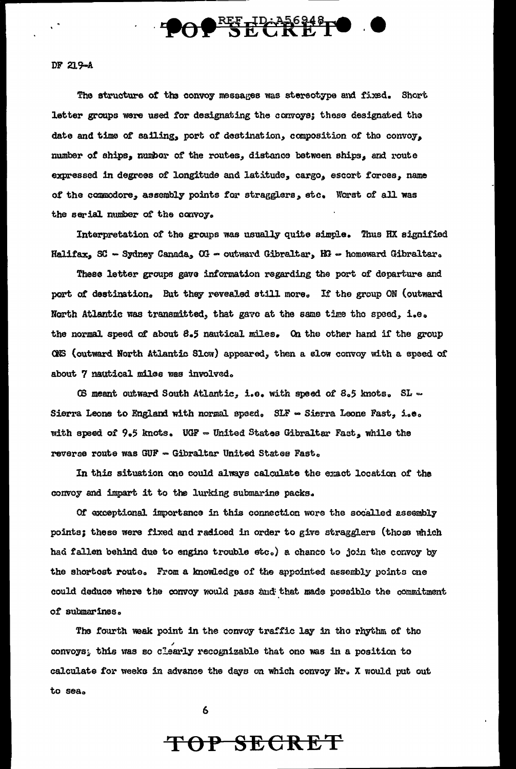

The structure of the convoy messages was stereotype and fixed. Short letter groups were used for designating the convoys; these designated the date and time of sailing, port of destination, composition of the convoy, number of ships, number of the routes, distance between ships, and route expressed in degrees of longitude and latitude, cargo, escort forces, name of the commodore, assembly points for stragglers, stc. Worst of all was the serial number of the convoy.

Interpretation of the groups was usually quite simple. Thus HX signified Halifax, SC - Sydney Canada, OG - outward Gibraltar, HG - homeward Gibraltar.

These letter groups gave information regarding the port of departure and port of destination. But they revealed still more. If the group ON (outward North Atlantic was transmitted, that gavo at the same time the speed, i.e. the normal speed of about  $\beta$ .5 nautical miles. On the other hand if the group QNS (outward North Atlantic Slow) appeared, then a slow convoy with a speed of about 7 nautical miles was involved.

CS meant outward South Atlantic, i.e. with speed of 8.5 knots. SL  $\sim$ Sierra Leone to England with normal spaed. SLF - Sierra Leone Fast, i.e. with speed of  $9.5$  knots. UGF = United States Gibraltar Fast, while the reverse route was GUF - Gibraltar United States Fast.

In this situation one could always calculate the exact location of the convoy and impart it to the lurking submarine packs ..

Of exceptional importance in this connection wore the socalled assembly points; these were fixed and radioed in order to give stragglers (those which had fallen behind due to engine trouble etc.) a chance to join the convoy by the shortost route. From a knowledge of the appointed assembly points one could deduce where the convoy would pass and that made possible the commitment of submarines.

The fourth weak point in the convoy traffic lay in the rhythm of the convoys; this was so clearly recognizable that ono was in a position to calculate for weeks in advance the days on which convoy Nr. X would put out to seao

6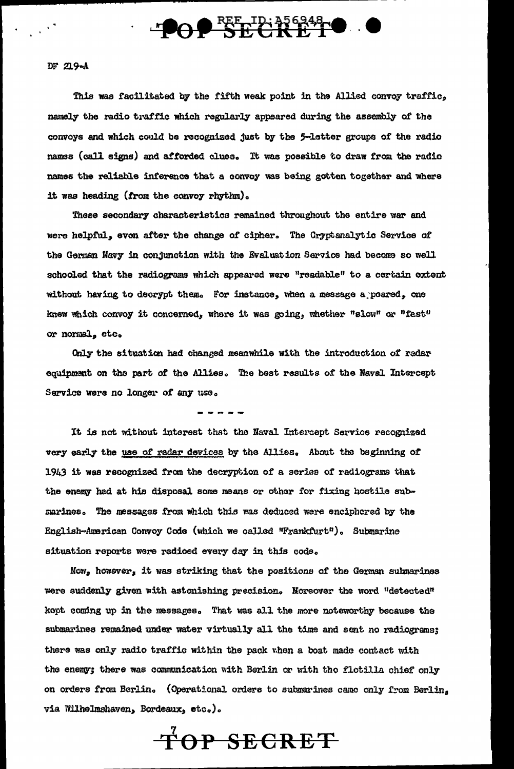

This was facilitated by the fifth weak point in the Allied convoy traffic, namely the radio traffic which regularly appeared during the assembly of the comroys and which could be recognized just by tha 5-letter groups or the radio names (call signs) and afforded clues. It was possible to draw from the radio names the reliable inference that a convoy was being gotten together and where it was heading (from the convoy rhythm).

These secondary characteristics remained throughout the entire war and were helpful, even after the change of cipher. The Cryptanalytic Service of the German Navy in conjunction with the Evaluation Service had become so well schooled that the radiograms which appeared were "readable" to a certain extent without having to decrypt them. For instance, when a message a poared, one knew which convoy it concerned, where it was going, whether "slow" or "fast" or normal, etc.

Only the situatian had changed meanwhile with the introduction of radar equipment on the part of the Allies. The best results of the Naval Intercept Service were no longer of any use.

It is not without interest that tho Naval Intercept Service recognized very early the use of radar devicas by the Allies. About the beginning of 1943 it was recognized from the decryption of a series of radiograms that the enemy had at his disposal some means or other for fixing hostile submarines. The messages from which this was deduced were enciphored by the English-American Convoy Code (which we called "Frankfurt"). Submarine aituation reports were radioed every day in this code.

Now, however, it was striking that the positions of the German submarines were suddenly given with astonishing precision. Moreover the word "detected" kopt coming up in the messages. That was all the more noteworthy because the submarines remained under water virtually all the time and sent no radiograms; there was only radio traffic within the pack when a boat made contact with the enemy; there was communication with Berlin or with the flotilla chief only on orders from Berlin. (Operational orders to submarines camo only from Berlin, via Wilhelmshaven, Bordeaux, eto.).

**ToP SECRET**